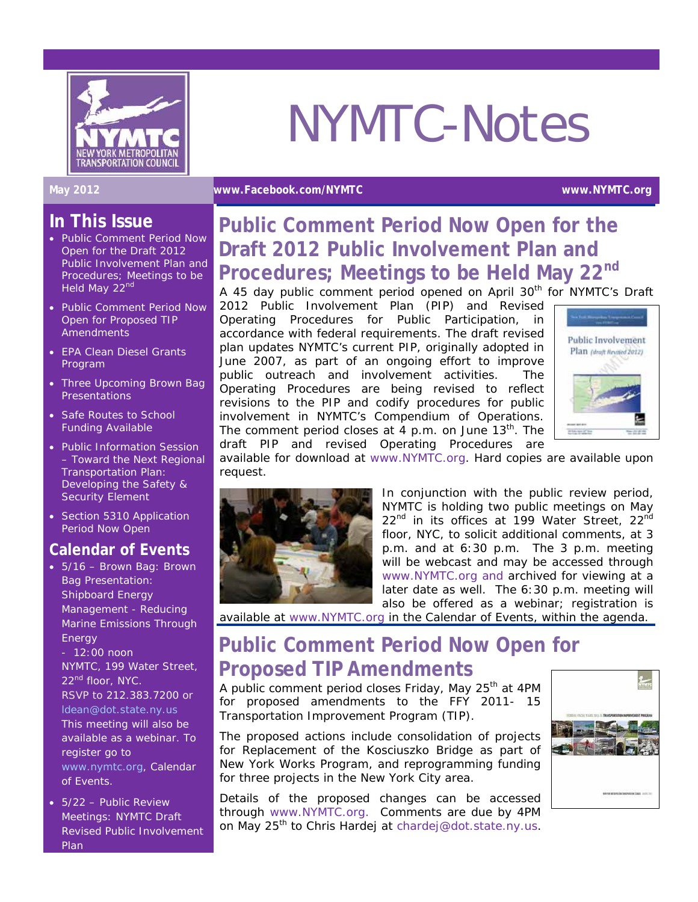

# NYMTC-Notes

#### **May 2012 [www.Facebook.com/NYMTC](http://www.facebook.com/NYMTC) www.NYMTC.org**

## **In This Issue**

- Public Comment Period Now Open for the Draft 2012 Public Involvement Plan and Procedures; Meetings to be Held May 22nd
- Public Comment Period Now Open for Proposed TIP **Amendments**
- EPA Clean Diesel Grants Program
- Three Upcoming Brown Bag **Presentations**
- Safe Routes to School Funding Available
- Public Information Session – *Toward the Next Regional Transportation Plan: Developing the Safety & Security Element*
- Section 5310 Application Period Now Open

## **Calendar of Events**

- 5/16 Brown Bag: Brown Bag Presentation: Shipboard Energy Management - Reducing Marine Emissions Through **Energy** - 12:00 noon NYMTC, 199 Water Street, 22<sup>nd</sup> floor, NYC.
- RSVP to 212.383.7200 or [ldean@dot.state.ny.us](mailto:ldean@dot.state.ny.us) This meeting will also be available as a webinar. To register go to [www.nymtc.org,](http://www.nymtc.org/) Calendar of Events.
- 5/22 Public Review Meetings: NYMTC Draft Revised Public Involvement Plan

# **Public Comment Period Now Open for the Draft 2012 Public Involvement Plan and Procedures; Meetings to be Held May 22nd**

A 45 day public comment period opened on April 30<sup>th</sup> for NYMTC's Draft 2012 Public Involvement Plan (PIP) and Revised Operating Procedures for Public Participation, in accordance with federal requirements. The draft revised plan updates NYMTC's current PIP, originally adopted in June 2007, as part of an ongoing effort to improve public outreach and involvement activities. The Operating Procedures are being revised to reflect revisions to the PIP and codify procedures for public involvement in NYMTC's Compendium of Operations. The comment period closes at 4 p.m. on June  $13<sup>th</sup>$ . The draft PIP and revised Operating Procedures are



available for download at [www.NYMTC.org](http://www.nymtc.org/). Hard copies are available upon request.



In conjunction with the public review period, NYMTC is holding two public meetings on May 22<sup>nd</sup> in its offices at 199 Water Street, 22<sup>nd</sup> floor, NYC, to solicit additional comments, at 3 p.m. and at 6:30 p.m. The 3 p.m. meeting will be webcast and may be accessed through [www.NYMTC.org](http://www.nymtc.org/) and archived for viewing at a later date as well. The 6:30 p.m. meeting will also be offered as a webinar; registration is

available at [www.NYMTC.org](http://www.nymtc.org/) in the Calendar of Events, within the agenda.

# **Public Comment Period Now Open for Proposed TIP Amendments**

A public comment period closes Friday, May 25<sup>th</sup> at 4PM for proposed amendments to the FFY 2011- 15 Transportation Improvement Program (TIP).

The proposed actions include consolidation of projects for Replacement of the Kosciuszko Bridge as part of New York Works Program, and reprogramming funding for three projects in the New York City area.

Details of the proposed changes can be accessed through [www.NYMTC.org.](http://www.nymtc.org/) Comments are due by 4PM on May 25<sup>th</sup> to Chris Hardej at [chardej@dot.state.ny.us.](mailto:chardej@dot.state.ny.us)

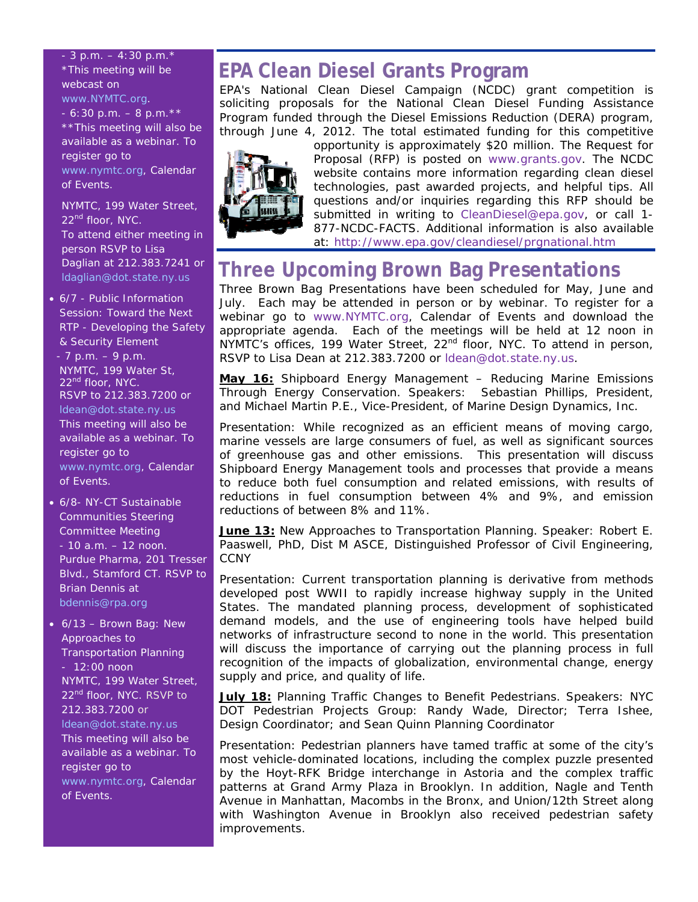### $-3$  p.m.  $-4:30$  p.m.  $*$ \*This meeting will be webcast on [www.NYMTC.org](http://www.nymtc.org/).  $-6:30$  p.m.  $-8$  p.m.  $**$ \*\*This meeting will also be available as a webinar. To register go to [www.nymtc.org,](http://www.nymtc.org/) Calendar of Events.

NYMTC, 199 Water Street, 22<sup>nd</sup> floor, NYC. To attend either meeting in person RSVP to Lisa Daglian at 212.383.7241 or [ldaglian@dot.state.ny.us](mailto:ldaglian@dot.state.ny.us) 

• 6/7 - Public Information Session: Toward the Next RTP - Developing the Safety & Security Element

 - 7 p.m. – 9 p.m. NYMTC, 199 Water St, 22<sup>nd</sup> floor, NYC. RSVP to 212.383.7200 or [ldean@dot.state.ny.us](mailto:ldean@dot.state.ny.us) This meeting will also be available as a webinar. To register go to [www.nymtc.org,](http://www.nymtc.org/) Calendar of Events.

- 6/8- NY-CT Sustainable Communities Steering Committee Meeting - 10 a.m. – 12 noon. Purdue Pharma, 201 Tresser Blvd., Stamford CT. RSVP to Brian Dennis at [bdennis@rpa.org](mailto:bdennis@rpa.org)
- 6/13 Brown Bag: New Approaches to Transportation Planning  $-12:00$  noon NYMTC, 199 Water Street, 22<sup>nd</sup> floor, NYC. RSVP to 212.383.7200 or [ldean@dot.state.ny.us](mailto:ldean@dot.state.ny.us) This meeting will also be available as a webinar. To register go to [www.nymtc.org,](http://www.nymtc.org/) Calendar of Events.

# **EPA Clean Diesel Grants Program**

EPA's National Clean Diesel Campaign (NCDC) grant competition is soliciting proposals for the National Clean Diesel Funding Assistance Program funded through the Diesel Emissions Reduction (DERA) program, through June 4, 2012. The total estimated funding for this competitive



opportunity is approximately \$20 million. The Request for Proposal (RFP) is posted on [www.grants.gov.](http://www.grants.gov/) The NCDC website contains more information regarding clean diesel technologies, past awarded projects, and helpful tips. All questions and/or inquiries regarding this RFP should be submitted in writing to [CleanDiesel@epa.gov,](mailto:CleanDiesel@epa.gov) or call 1- 877-NCDC-FACTS. Additional information is also available at:<http://www.epa.gov/cleandiesel/prgnational.htm>

# **Three Upcoming Brown Bag Presentations**

Three Brown Bag Presentations have been scheduled for May, June and July. Each may be attended in person or by webinar. To register for a webinar go to [www.NYMTC.org,](http://www.nymtc.org/) Calendar of Events and download the appropriate agenda. Each of the meetings will be held at 12 noon in NYMTC's offices, 199 Water Street, 22<sup>nd</sup> floor, NYC. To attend in person, RSVP to Lisa Dean at 212.383.7200 or [ldean@dot.state.ny.us.](mailto:ldean@dot.state.ny.us)

**May 16:** *Shipboard Energy Management – Reducing Marine Emissions Through Energy Conservation.* Speakers: Sebastian Phillips, President, and Michael Martin P.E., Vice-President, of Marine Design Dynamics, Inc.

Presentation: While recognized as an efficient means of moving cargo, marine vessels are large consumers of fuel, as well as significant sources of greenhouse gas and other emissions. This presentation will discuss Shipboard Energy Management tools and processes that provide a means to reduce both fuel consumption and related emissions, with results of reductions in fuel consumption between 4% and 9%, and emission reductions of between 8% and 11%.

**June 13:** *New Approaches to Transportation Planning.* Speaker: Robert E. Paaswell, PhD, Dist M ASCE, Distinguished Professor of Civil Engineering, **CCNY** 

Presentation: Current transportation planning is derivative from methods developed post WWII to rapidly increase highway supply in the United States. The mandated planning process, development of sophisticated demand models, and the use of engineering tools have helped build networks of infrastructure second to none in the world. This presentation will discuss the importance of carrying out the planning process in full recognition of the impacts of globalization, environmental change, energy supply and price, and quality of life.

**July 18:** *Planning Traffic Changes to Benefit Pedestrians*. Speakers: NYC DOT Pedestrian Projects Group: Randy Wade, Director; Terra Ishee, Design Coordinator; and Sean Quinn Planning Coordinator

Presentation: Pedestrian planners have tamed traffic at some of the city's most vehicle-dominated locations, including the complex puzzle presented by the Hoyt-RFK Bridge interchange in Astoria and the complex traffic patterns at Grand Army Plaza in Brooklyn. In addition, Nagle and Tenth Avenue in Manhattan, Macombs in the Bronx, and Union/12th Street along with Washington Avenue in Brooklyn also received pedestrian safety improvements.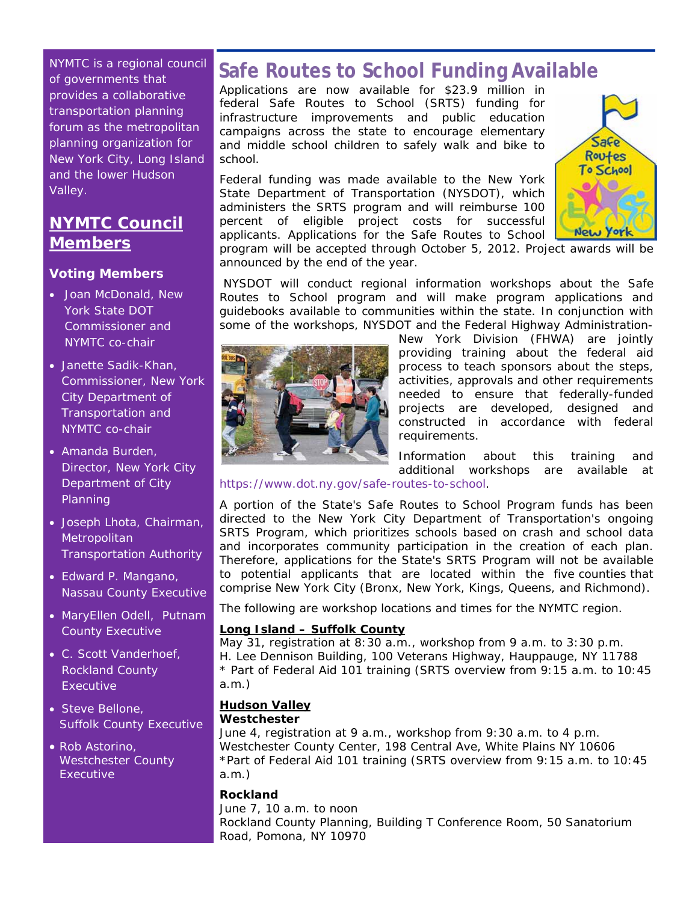NYMTC is a regional council of governments that provides a collaborative transportation planning forum as the metropolitan planning organization for New York City, Long Island and the lower Hudson Valley.

## **NYMTC Council Members**

## **Voting Members**

- Joan McDonald, New York State DOT Commissioner and NYMTC co-chair
- Janette Sadik-Khan, Commissioner, New York City Department of Transportation and NYMTC co-chair
- Amanda Burden, Director, New York City Department of City Planning
- Joseph Lhota, Chairman, **Metropolitan** Transportation Authority
- Edward P. Mangano, Nassau County Executive
- MaryEllen Odell, Putnam County Executive
- C. Scott Vanderhoef, Rockland County **Executive**
- Steve Bellone, Suffolk County Executive
- Rob Astorino, Westchester County **Executive**

# **Safe Routes to School Funding Available**

Applications are now available for \$23.9 million in federal Safe Routes to School (SRTS) funding for infrastructure improvements and public education campaigns across the state to encourage elementary and middle school children to safely walk and bike to school.

Federal funding was made available to the New York State Department of Transportation (NYSDOT), which administers the SRTS program and will reimburse 100 percent of eligible project costs for successful applicants. Applications for the Safe Routes to School



program will be accepted through October 5, 2012. Project awards will be announced by the end of the year.

 NYSDOT will conduct regional information workshops about the Safe Routes to School program and will make program applications and guidebooks available to communities within the state. In conjunction with some of the workshops, NYSDOT and the Federal Highway Administration-



New York Division (FHWA) are jointly providing training about the federal aid process to teach sponsors about the steps, activities, approvals and other requirements needed to ensure that federally-funded projects are developed, designed and constructed in accordance with federal requirements.

Information about this training and additional workshops are available at

<https://www.dot.ny.gov/safe-routes-to-school>.

A portion of the State's Safe Routes to School Program funds has been directed to the New York City Department of Transportation's ongoing SRTS Program, which prioritizes schools based on crash and school data and incorporates community participation in the creation of each plan. Therefore, applications for the State's SRTS Program will not be available to potential applicants that are located within the five counties that comprise New York City (Bronx, New York, Kings, Queens, and Richmond).

The following are workshop locations and times for the NYMTC region.

### **Long Island – Suffolk County**

May 31, registration at 8:30 a.m., workshop from 9 a.m. to 3:30 p.m. H. Lee Dennison Building, 100 Veterans Highway, Hauppauge, NY 11788 \* Part of Federal Aid 101 training (SRTS overview from 9:15 a.m. to 10:45 a.m.)

## **Hudson Valley**

#### **Westchester**

June 4, registration at 9 a.m., workshop from 9:30 a.m. to 4 p.m. Westchester County Center, 198 Central Ave, White Plains NY 10606 \*Part of Federal Aid 101 training (SRTS overview from 9:15 a.m. to 10:45 a.m.)

#### **Rockland**

June 7, 10 a.m. to noon Rockland County Planning, Building T Conference Room, 50 Sanatorium Road, Pomona, NY 10970